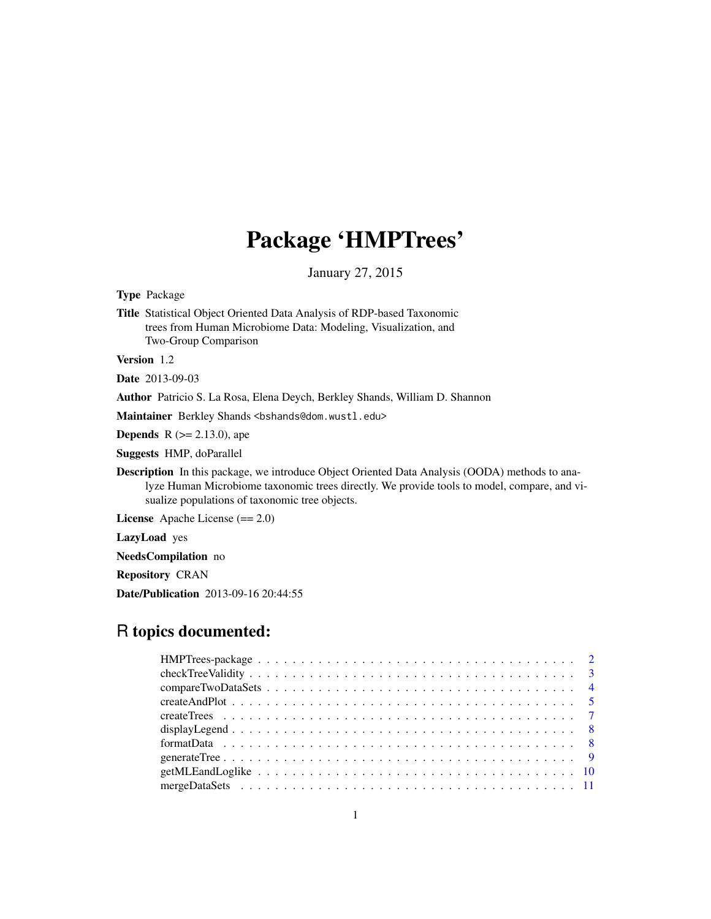## Package 'HMPTrees'

January 27, 2015

Type Package

Title Statistical Object Oriented Data Analysis of RDP-based Taxonomic trees from Human Microbiome Data: Modeling, Visualization, and Two-Group Comparison

Version 1.2

Date 2013-09-03

Author Patricio S. La Rosa, Elena Deych, Berkley Shands, William D. Shannon

Maintainer Berkley Shands <bshands@dom.wustl.edu>

**Depends** R  $(>= 2.13.0)$ , ape

Suggests HMP, doParallel

Description In this package, we introduce Object Oriented Data Analysis (OODA) methods to analyze Human Microbiome taxonomic trees directly. We provide tools to model, compare, and visualize populations of taxonomic tree objects.

License Apache License (== 2.0)

LazyLoad yes

NeedsCompilation no

Repository CRAN

Date/Publication 2013-09-16 20:44:55

## R topics documented: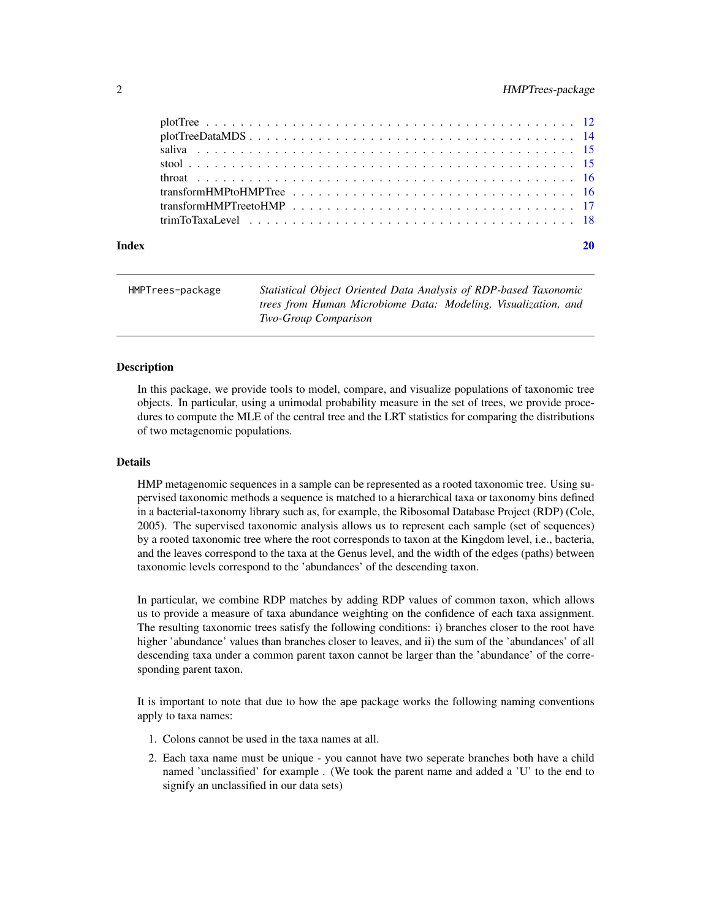<span id="page-1-0"></span>

| transformHMPTreetoHMP |  |  |  |  |  |  |  |  |  |  |  |  |  |  |  |  |  |
|-----------------------|--|--|--|--|--|--|--|--|--|--|--|--|--|--|--|--|--|
|                       |  |  |  |  |  |  |  |  |  |  |  |  |  |  |  |  |  |
|                       |  |  |  |  |  |  |  |  |  |  |  |  |  |  |  |  |  |

#### $\bf 1$ ndex  $\bf 20$  $\bf 20$

| HMPTrees-package | Statistical Object Oriented Data Analysis of RDP-based Taxonomic |
|------------------|------------------------------------------------------------------|
|                  | trees from Human Microbiome Data: Modeling, Visualization, and   |
|                  | <b>Two-Group Comparison</b>                                      |

#### **Description**

In this package, we provide tools to model, compare, and visualize populations of taxonomic tree objects. In particular, using a unimodal probability measure in the set of trees, we provide procedures to compute the MLE of the central tree and the LRT statistics for comparing the distributions of two metagenomic populations.

#### Details

HMP metagenomic sequences in a sample can be represented as a rooted taxonomic tree. Using supervised taxonomic methods a sequence is matched to a hierarchical taxa or taxonomy bins defined in a bacterial-taxonomy library such as, for example, the Ribosomal Database Project (RDP) (Cole, 2005). The supervised taxonomic analysis allows us to represent each sample (set of sequences) by a rooted taxonomic tree where the root corresponds to taxon at the Kingdom level, i.e., bacteria, and the leaves correspond to the taxa at the Genus level, and the width of the edges (paths) between taxonomic levels correspond to the 'abundances' of the descending taxon.

In particular, we combine RDP matches by adding RDP values of common taxon, which allows us to provide a measure of taxa abundance weighting on the confidence of each taxa assignment. The resulting taxonomic trees satisfy the following conditions: i) branches closer to the root have higher 'abundance' values than branches closer to leaves, and ii) the sum of the 'abundances' of all descending taxa under a common parent taxon cannot be larger than the 'abundance' of the corresponding parent taxon.

It is important to note that due to how the ape package works the following naming conventions apply to taxa names:

- 1. Colons cannot be used in the taxa names at all.
- 2. Each taxa name must be unique you cannot have two seperate branches both have a child named 'unclassified' for example . (We took the parent name and added a 'U' to the end to signify an unclassified in our data sets)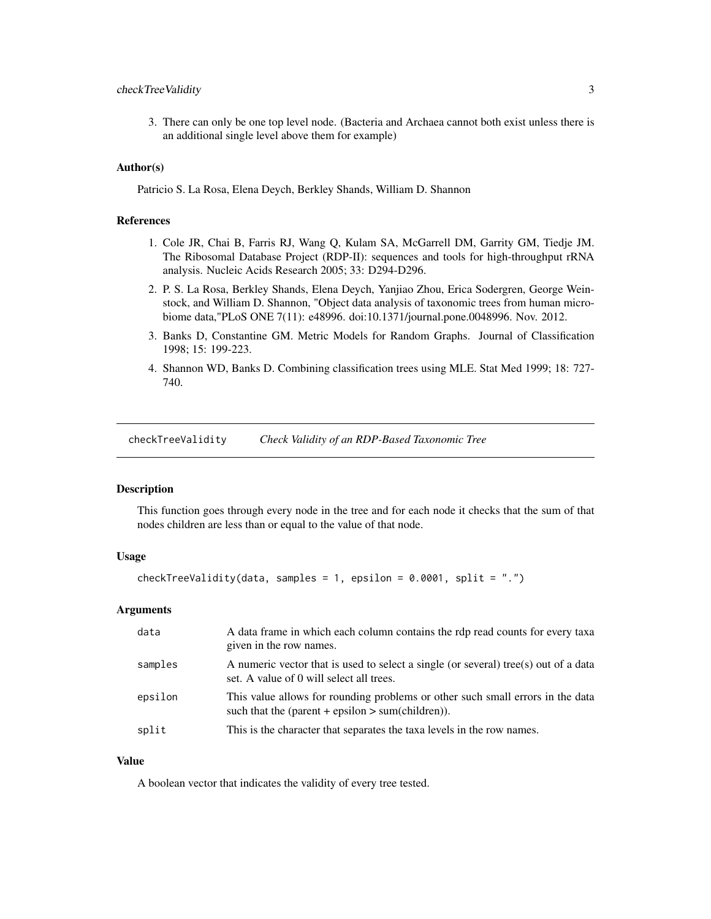## <span id="page-2-0"></span>checkTreeValidity 3

3. There can only be one top level node. (Bacteria and Archaea cannot both exist unless there is an additional single level above them for example)

#### Author(s)

Patricio S. La Rosa, Elena Deych, Berkley Shands, William D. Shannon

#### References

- 1. Cole JR, Chai B, Farris RJ, Wang Q, Kulam SA, McGarrell DM, Garrity GM, Tiedje JM. The Ribosomal Database Project (RDP-II): sequences and tools for high-throughput rRNA analysis. Nucleic Acids Research 2005; 33: D294-D296.
- 2. P. S. La Rosa, Berkley Shands, Elena Deych, Yanjiao Zhou, Erica Sodergren, George Weinstock, and William D. Shannon, "Object data analysis of taxonomic trees from human microbiome data,"PLoS ONE 7(11): e48996. doi:10.1371/journal.pone.0048996. Nov. 2012.
- 3. Banks D, Constantine GM. Metric Models for Random Graphs. Journal of Classification 1998; 15: 199-223.
- 4. Shannon WD, Banks D. Combining classification trees using MLE. Stat Med 1999; 18: 727- 740.

checkTreeValidity *Check Validity of an RDP-Based Taxonomic Tree*

#### Description

This function goes through every node in the tree and for each node it checks that the sum of that nodes children are less than or equal to the value of that node.

#### Usage

```
checkTreeValidity(data, samples = 1, epsilon = 0.0001, split = ".")
```
#### Arguments

| data    | A data frame in which each column contains the rdp read counts for every taxa<br>given in the row names.                            |
|---------|-------------------------------------------------------------------------------------------------------------------------------------|
| samples | A numeric vector that is used to select a single (or several) tree(s) out of a data<br>set. A value of 0 will select all trees.     |
| epsilon | This value allows for rounding problems or other such small errors in the data<br>such that the (parent + epsilon > sum(children)). |
| split   | This is the character that separates the taxa levels in the row names.                                                              |

## Value

A boolean vector that indicates the validity of every tree tested.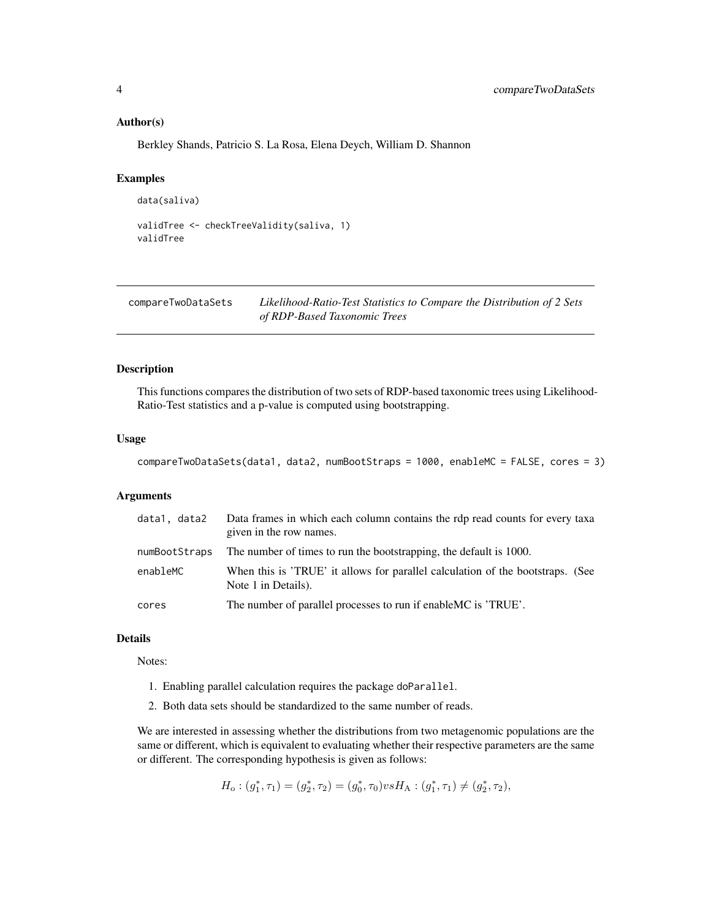#### <span id="page-3-0"></span>Author(s)

Berkley Shands, Patricio S. La Rosa, Elena Deych, William D. Shannon

## Examples

```
data(saliva)
```

```
validTree <- checkTreeValidity(saliva, 1)
validTree
```
compareTwoDataSets *Likelihood-Ratio-Test Statistics to Compare the Distribution of 2 Sets of RDP-Based Taxonomic Trees*

#### Description

This functions compares the distribution of two sets of RDP-based taxonomic trees using Likelihood-Ratio-Test statistics and a p-value is computed using bootstrapping.

## Usage

```
compareTwoDataSets(data1, data2, numBootStraps = 1000, enableMC = FALSE, cores = 3)
```
#### Arguments

| data1, data2  | Data frames in which each column contains the rdp read counts for every taxa<br>given in the row names. |
|---------------|---------------------------------------------------------------------------------------------------------|
| numBootStraps | The number of times to run the bootstrapping, the default is 1000.                                      |
| enableMC      | When this is 'TRUE' it allows for parallel calculation of the bootstraps. (See<br>Note 1 in Details).   |
| cores         | The number of parallel processes to run if enable MC is 'TRUE'.                                         |

## Details

Notes:

- 1. Enabling parallel calculation requires the package doParallel.
- 2. Both data sets should be standardized to the same number of reads.

We are interested in assessing whether the distributions from two metagenomic populations are the same or different, which is equivalent to evaluating whether their respective parameters are the same or different. The corresponding hypothesis is given as follows:

$$
H_o: (g_1^*, \tau_1) = (g_2^*, \tau_2) = (g_0^*, \tau_0) \nu s H_A: (g_1^*, \tau_1) \neq (g_2^*, \tau_2),
$$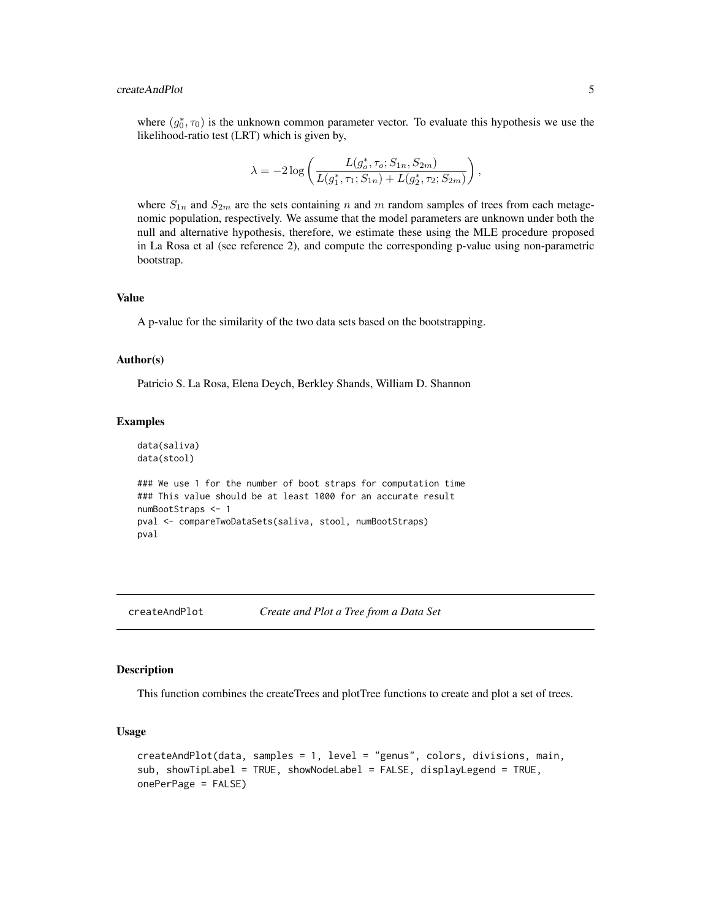## <span id="page-4-0"></span>createAndPlot 5

where  $(g_0^*, \tau_0)$  is the unknown common parameter vector. To evaluate this hypothesis we use the likelihood-ratio test (LRT) which is given by,

$$
\lambda = -2 \log \left( \frac{L(g_o^*, \tau_o; S_{1n}, S_{2m})}{L(g_1^*, \tau_1; S_{1n}) + L(g_2^*, \tau_2; S_{2m})} \right),
$$

where  $S_{1n}$  and  $S_{2m}$  are the sets containing n and m random samples of trees from each metagenomic population, respectively. We assume that the model parameters are unknown under both the null and alternative hypothesis, therefore, we estimate these using the MLE procedure proposed in La Rosa et al (see reference 2), and compute the corresponding p-value using non-parametric bootstrap.

#### Value

A p-value for the similarity of the two data sets based on the bootstrapping.

#### Author(s)

Patricio S. La Rosa, Elena Deych, Berkley Shands, William D. Shannon

#### Examples

```
data(saliva)
data(stool)
```

```
### We use 1 for the number of boot straps for computation time
### This value should be at least 1000 for an accurate result
numBootStraps <- 1
pval <- compareTwoDataSets(saliva, stool, numBootStraps)
pval
```
## createAndPlot *Create and Plot a Tree from a Data Set*

## **Description**

This function combines the createTrees and plotTree functions to create and plot a set of trees.

```
createAndPlot(data, samples = 1, level = "genus", colors, divisions, main,
sub, showTipLabel = TRUE, showNodeLabel = FALSE, displayLegend = TRUE,
onePerPage = FALSE)
```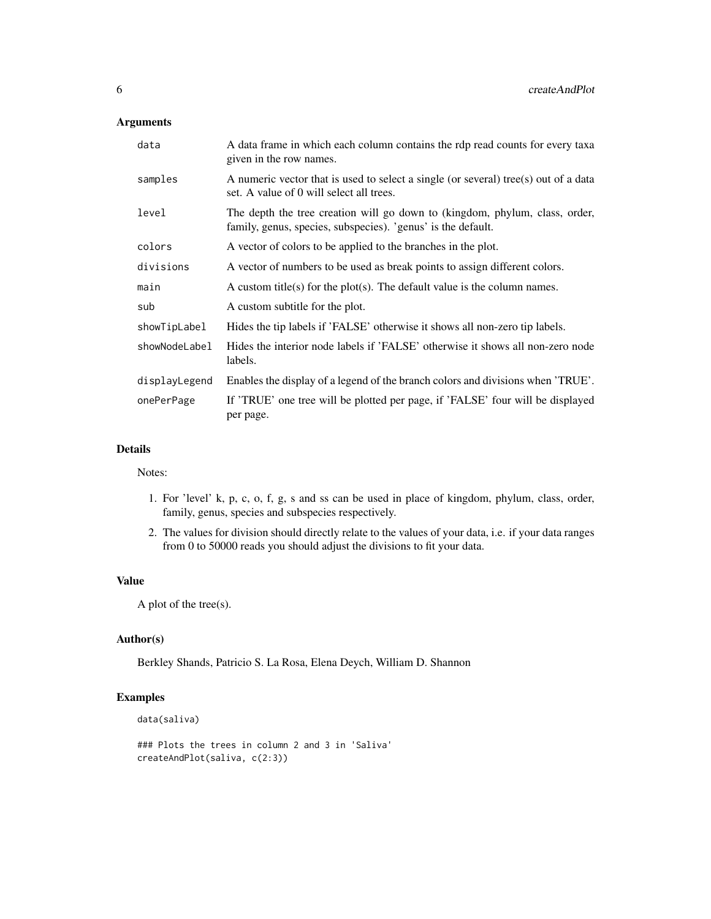## Arguments

| data          | A data frame in which each column contains the rdp read counts for every taxa<br>given in the row names.                                    |
|---------------|---------------------------------------------------------------------------------------------------------------------------------------------|
| samples       | A numeric vector that is used to select a single (or several) tree(s) out of a data<br>set. A value of 0 will select all trees.             |
| level         | The depth the tree creation will go down to (kingdom, phylum, class, order,<br>family, genus, species, subspecies). 'genus' is the default. |
| colors        | A vector of colors to be applied to the branches in the plot.                                                                               |
| divisions     | A vector of numbers to be used as break points to assign different colors.                                                                  |
| main          | A custom title(s) for the plot(s). The default value is the column names.                                                                   |
| sub           | A custom subtitle for the plot.                                                                                                             |
| showTipLabel  | Hides the tip labels if 'FALSE' otherwise it shows all non-zero tip labels.                                                                 |
| showNodeLabel | Hides the interior node labels if 'FALSE' otherwise it shows all non-zero node<br>labels.                                                   |
| displayLegend | Enables the display of a legend of the branch colors and divisions when 'TRUE'.                                                             |
| onePerPage    | If 'TRUE' one tree will be plotted per page, if 'FALSE' four will be displayed<br>per page.                                                 |

## Details

Notes:

- 1. For 'level' k, p, c, o, f, g, s and ss can be used in place of kingdom, phylum, class, order, family, genus, species and subspecies respectively.
- 2. The values for division should directly relate to the values of your data, i.e. if your data ranges from 0 to 50000 reads you should adjust the divisions to fit your data.

## Value

A plot of the tree(s).

## Author(s)

Berkley Shands, Patricio S. La Rosa, Elena Deych, William D. Shannon

## Examples

```
data(saliva)
```

```
### Plots the trees in column 2 and 3 in 'Saliva'
createAndPlot(saliva, c(2:3))
```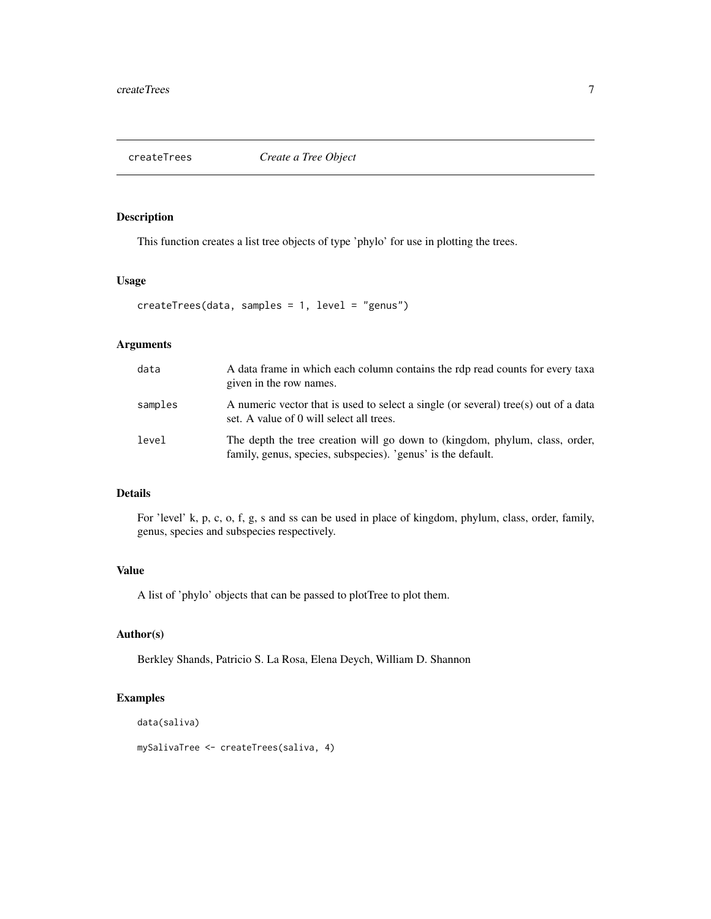<span id="page-6-0"></span>

This function creates a list tree objects of type 'phylo' for use in plotting the trees.

## Usage

```
createTrees(data, samples = 1, level = "genus")
```
## Arguments

| data    | A data frame in which each column contains the rdp read counts for every taxa<br>given in the row names.                                    |
|---------|---------------------------------------------------------------------------------------------------------------------------------------------|
| samples | A numeric vector that is used to select a single (or several) tree(s) out of a data<br>set. A value of 0 will select all trees.             |
| level   | The depth the tree creation will go down to (kingdom, phylum, class, order,<br>family, genus, species, subspecies). 'genus' is the default. |

## Details

For 'level' k, p, c, o, f, g, s and ss can be used in place of kingdom, phylum, class, order, family, genus, species and subspecies respectively.

## Value

A list of 'phylo' objects that can be passed to plotTree to plot them.

## Author(s)

Berkley Shands, Patricio S. La Rosa, Elena Deych, William D. Shannon

## Examples

```
data(saliva)
```
mySalivaTree <- createTrees(saliva, 4)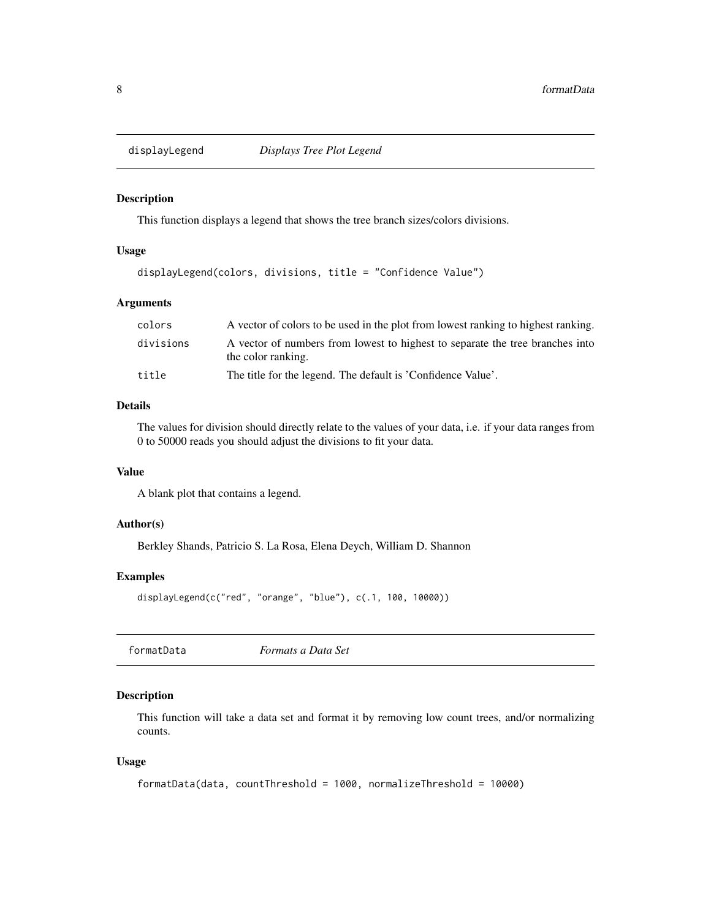<span id="page-7-0"></span>

This function displays a legend that shows the tree branch sizes/colors divisions.

#### Usage

```
displayLegend(colors, divisions, title = "Confidence Value")
```
#### Arguments

| colors    | A vector of colors to be used in the plot from lowest ranking to highest ranking.                   |
|-----------|-----------------------------------------------------------------------------------------------------|
| divisions | A vector of numbers from lowest to highest to separate the tree branches into<br>the color ranking. |
| title     | The title for the legend. The default is 'Confidence Value'.                                        |

## Details

The values for division should directly relate to the values of your data, i.e. if your data ranges from 0 to 50000 reads you should adjust the divisions to fit your data.

## Value

A blank plot that contains a legend.

## Author(s)

Berkley Shands, Patricio S. La Rosa, Elena Deych, William D. Shannon

#### Examples

displayLegend(c("red", "orange", "blue"), c(.1, 100, 10000))

| Formats a Data Set |  |
|--------------------|--|
|--------------------|--|

## Description

This function will take a data set and format it by removing low count trees, and/or normalizing counts.

```
formatData(data, countThreshold = 1000, normalizeThreshold = 10000)
```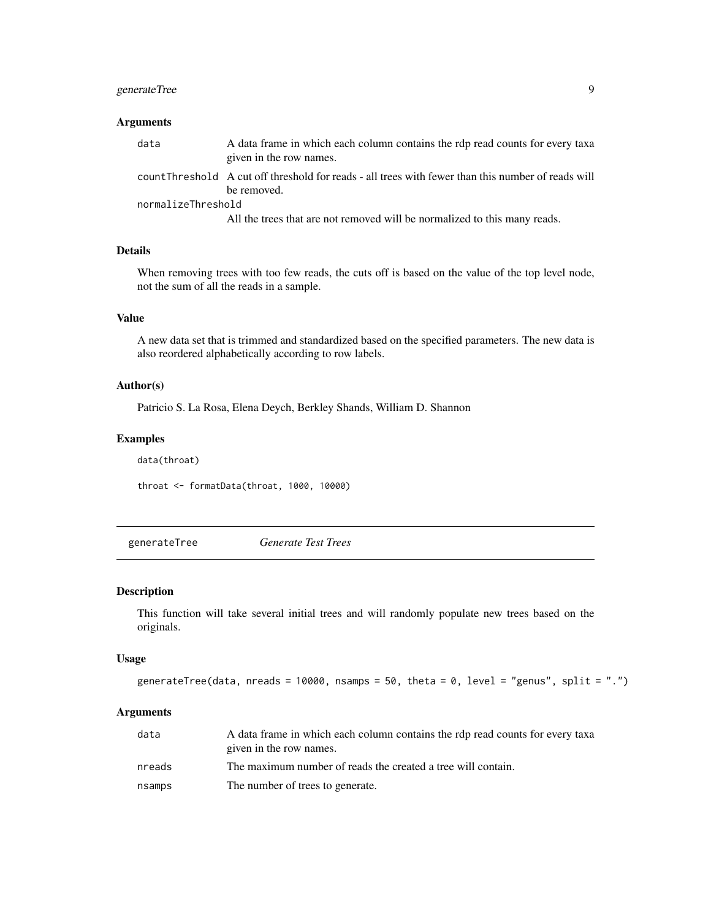## <span id="page-8-0"></span>generateTree 9

## Arguments

| data               | A data frame in which each column contains the rdp read counts for every taxa<br>given in the row names.           |
|--------------------|--------------------------------------------------------------------------------------------------------------------|
|                    | count Threshold A cut off threshold for reads - all trees with fewer than this number of reads will<br>be removed. |
| normalizeThreshold |                                                                                                                    |
|                    | All the trees that are not removed will be normalized to this many reads.                                          |

#### Details

When removing trees with too few reads, the cuts off is based on the value of the top level node, not the sum of all the reads in a sample.

## Value

A new data set that is trimmed and standardized based on the specified parameters. The new data is also reordered alphabetically according to row labels.

#### Author(s)

Patricio S. La Rosa, Elena Deych, Berkley Shands, William D. Shannon

## Examples

data(throat) throat <- formatData(throat, 1000, 10000)

generateTree *Generate Test Trees*

#### Description

This function will take several initial trees and will randomly populate new trees based on the originals.

#### Usage

```
generateTree(data, nreads = 10000, nsamps = 50, theta = 0, level = "genus", split = ".")
```
## Arguments

| data   | A data frame in which each column contains the rdp read counts for every taxa |
|--------|-------------------------------------------------------------------------------|
|        | given in the row names.                                                       |
| nreads | The maximum number of reads the created a tree will contain.                  |
| nsamps | The number of trees to generate.                                              |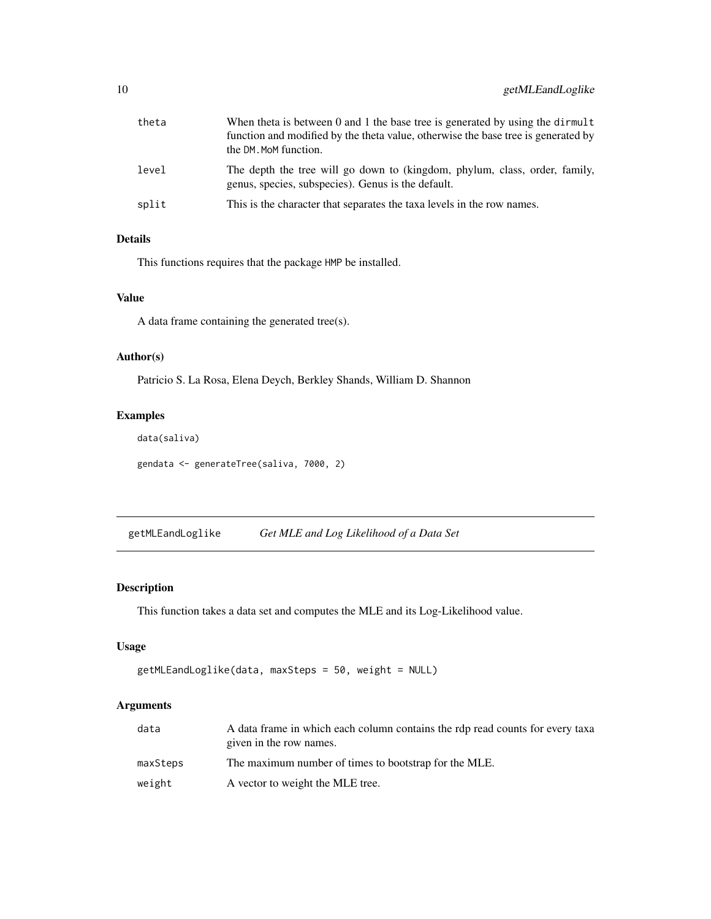<span id="page-9-0"></span>

| theta | When theta is between 0 and 1 the base tree is generated by using the dirmult<br>function and modified by the theta value, otherwise the base tree is generated by<br>the DM. MoM function. |
|-------|---------------------------------------------------------------------------------------------------------------------------------------------------------------------------------------------|
| level | The depth the tree will go down to (kingdom, phylum, class, order, family,<br>genus, species, subspecies). Genus is the default.                                                            |
| split | This is the character that separates the taxa levels in the row names.                                                                                                                      |

## Details

This functions requires that the package HMP be installed.

## Value

A data frame containing the generated tree(s).

## Author(s)

Patricio S. La Rosa, Elena Deych, Berkley Shands, William D. Shannon

## Examples

```
data(saliva)
```
gendata <- generateTree(saliva, 7000, 2)

getMLEandLoglike *Get MLE and Log Likelihood of a Data Set*

## Description

This function takes a data set and computes the MLE and its Log-Likelihood value.

## Usage

```
getMLEandLoglike(data, maxSteps = 50, weight = NULL)
```
## Arguments

| data     | A data frame in which each column contains the rdp read counts for every taxa |
|----------|-------------------------------------------------------------------------------|
|          | given in the row names.                                                       |
| maxSteps | The maximum number of times to bootstrap for the MLE.                         |
| weight   | A vector to weight the MLE tree.                                              |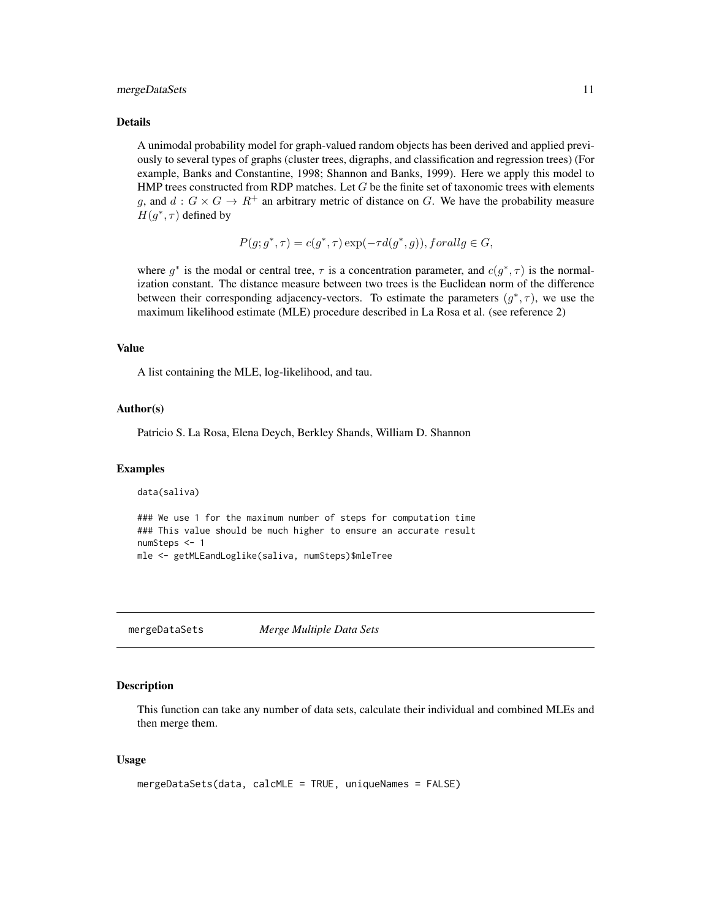#### <span id="page-10-0"></span>mergeDataSets 11

#### Details

A unimodal probability model for graph-valued random objects has been derived and applied previously to several types of graphs (cluster trees, digraphs, and classification and regression trees) (For example, Banks and Constantine, 1998; Shannon and Banks, 1999). Here we apply this model to HMP trees constructed from RDP matches. Let  $G$  be the finite set of taxonomic trees with elements g, and  $d: G \times G \to \mathbb{R}^+$  an arbitrary metric of distance on G. We have the probability measure  $H(g^*, \tau)$  defined by

$$
P(g; g^*, \tau) = c(g^*, \tau) \exp(-\tau d(g^*, g)), for all g \in G,
$$

where  $g^*$  is the modal or central tree,  $\tau$  is a concentration parameter, and  $c(g^*, \tau)$  is the normalization constant. The distance measure between two trees is the Euclidean norm of the difference between their corresponding adjacency-vectors. To estimate the parameters  $(g^*, \tau)$ , we use the maximum likelihood estimate (MLE) procedure described in La Rosa et al. (see reference 2)

#### Value

A list containing the MLE, log-likelihood, and tau.

#### Author(s)

Patricio S. La Rosa, Elena Deych, Berkley Shands, William D. Shannon

#### Examples

data(saliva)

```
### We use 1 for the maximum number of steps for computation time
### This value should be much higher to ensure an accurate result
numSteps <- 1
mle <- getMLEandLoglike(saliva, numSteps)$mleTree
```
mergeDataSets *Merge Multiple Data Sets*

#### Description

This function can take any number of data sets, calculate their individual and combined MLEs and then merge them.

```
mergeDataSets(data, calcMLE = TRUE, uniqueNames = FALSE)
```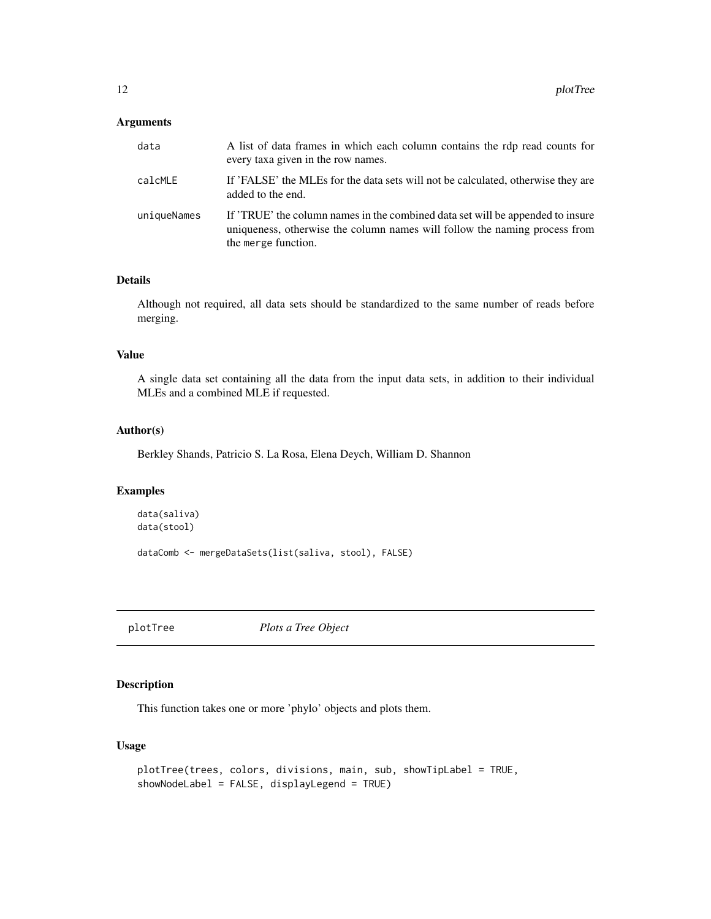#### <span id="page-11-0"></span>Arguments

| data        | A list of data frames in which each column contains the rdp read counts for<br>every taxa given in the row names.                                                                   |
|-------------|-------------------------------------------------------------------------------------------------------------------------------------------------------------------------------------|
| calcMLE     | If 'FALSE' the MLEs for the data sets will not be calculated, otherwise they are<br>added to the end.                                                                               |
| uniqueNames | If 'TRUE' the column names in the combined data set will be appended to insure<br>uniqueness, otherwise the column names will follow the naming process from<br>the merge function. |

## Details

Although not required, all data sets should be standardized to the same number of reads before merging.

#### Value

A single data set containing all the data from the input data sets, in addition to their individual MLEs and a combined MLE if requested.

## Author(s)

Berkley Shands, Patricio S. La Rosa, Elena Deych, William D. Shannon

## Examples

```
data(saliva)
data(stool)
```
dataComb <- mergeDataSets(list(saliva, stool), FALSE)

plotTree *Plots a Tree Object*

#### Description

This function takes one or more 'phylo' objects and plots them.

```
plotTree(trees, colors, divisions, main, sub, showTipLabel = TRUE,
showNodeLabel = FALSE, displayLegend = TRUE)
```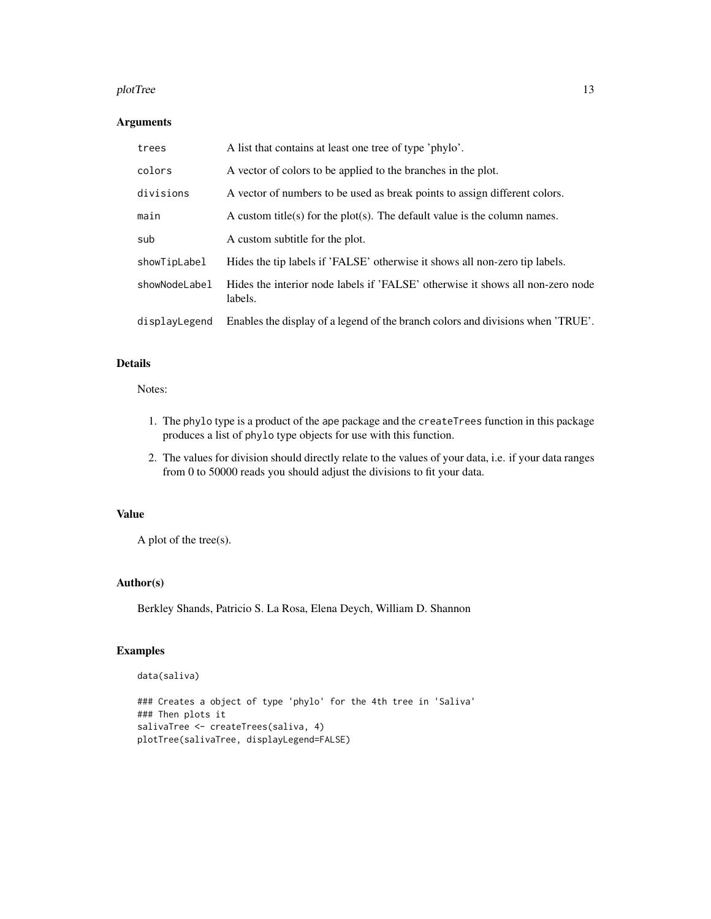#### plotTree that the contract of the contract of the contract of the contract of the contract of the contract of the contract of the contract of the contract of the contract of the contract of the contract of the contract of

## Arguments

| trees         | A list that contains at least one tree of type 'phylo'.                                   |
|---------------|-------------------------------------------------------------------------------------------|
| colors        | A vector of colors to be applied to the branches in the plot.                             |
| divisions     | A vector of numbers to be used as break points to assign different colors.                |
| main          | A custom title(s) for the plot(s). The default value is the column names.                 |
| sub           | A custom subtitle for the plot.                                                           |
| showTipLabel  | Hides the tip labels if 'FALSE' otherwise it shows all non-zero tip labels.               |
| showNodeLabel | Hides the interior node labels if 'FALSE' otherwise it shows all non-zero node<br>labels. |
| displayLegend | Enables the display of a legend of the branch colors and divisions when 'TRUE'.           |

## Details

## Notes:

- 1. The phylo type is a product of the ape package and the createTrees function in this package produces a list of phylo type objects for use with this function.
- 2. The values for division should directly relate to the values of your data, i.e. if your data ranges from 0 to 50000 reads you should adjust the divisions to fit your data.

#### Value

A plot of the tree(s).

## Author(s)

Berkley Shands, Patricio S. La Rosa, Elena Deych, William D. Shannon

## Examples

```
data(saliva)
```

```
### Creates a object of type 'phylo' for the 4th tree in 'Saliva'
### Then plots it
salivaTree <- createTrees(saliva, 4)
plotTree(salivaTree, displayLegend=FALSE)
```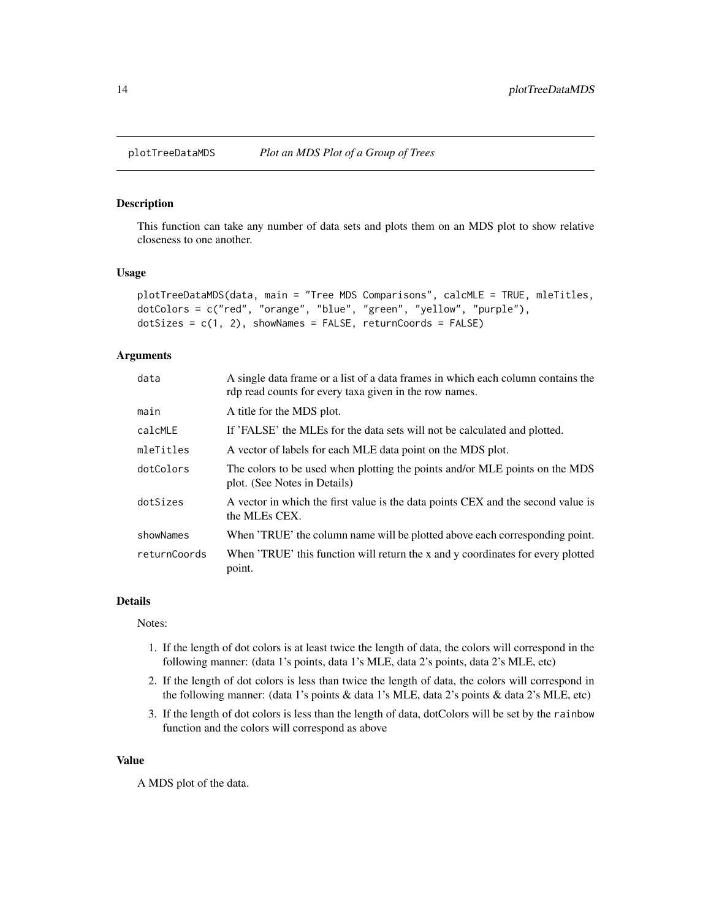<span id="page-13-0"></span>

This function can take any number of data sets and plots them on an MDS plot to show relative closeness to one another.

#### Usage

```
plotTreeDataMDS(data, main = "Tree MDS Comparisons", calcMLE = TRUE, mleTitles,
dotColors = c("red", "orange", "blue", "green", "yellow", "purple"),
dotSizes = c(1, 2), showNames = FALSE, returnCoords = FALSE)
```
#### Arguments

| data         | A single data frame or a list of a data frames in which each column contains the<br>rdp read counts for every taxa given in the row names. |
|--------------|--------------------------------------------------------------------------------------------------------------------------------------------|
| main         | A title for the MDS plot.                                                                                                                  |
| calcMLE      | If 'FALSE' the MLEs for the data sets will not be calculated and plotted.                                                                  |
| mleTitles    | A vector of labels for each MLE data point on the MDS plot.                                                                                |
| dotColors    | The colors to be used when plotting the points and/or MLE points on the MDS<br>plot. (See Notes in Details)                                |
| dotSizes     | A vector in which the first value is the data points CEX and the second value is<br>the MLEs CEX.                                          |
| showNames    | When 'TRUE' the column name will be plotted above each corresponding point.                                                                |
| returnCoords | When 'TRUE' this function will return the x and y coordinates for every plotted<br>point.                                                  |

#### Details

Notes:

- 1. If the length of dot colors is at least twice the length of data, the colors will correspond in the following manner: (data 1's points, data 1's MLE, data 2's points, data 2's MLE, etc)
- 2. If the length of dot colors is less than twice the length of data, the colors will correspond in the following manner: (data 1's points & data 1's MLE, data 2's points & data 2's MLE, etc)
- 3. If the length of dot colors is less than the length of data, dotColors will be set by the rainbow function and the colors will correspond as above

## Value

A MDS plot of the data.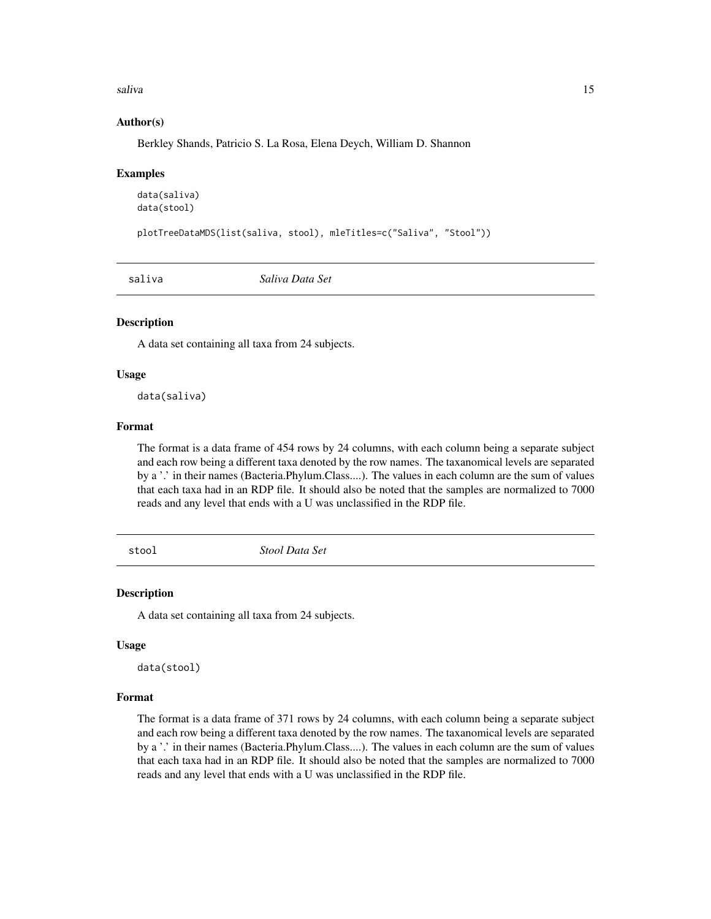<span id="page-14-0"></span>saliva terminal saliva terminal saliva terminal saliva terminal saliva terminal saliva terminal saliva terminal sa

#### Author(s)

Berkley Shands, Patricio S. La Rosa, Elena Deych, William D. Shannon

#### Examples

```
data(saliva)
data(stool)
```
plotTreeDataMDS(list(saliva, stool), mleTitles=c("Saliva", "Stool"))

saliva *Saliva Data Set*

#### Description

A data set containing all taxa from 24 subjects.

#### Usage

data(saliva)

#### Format

The format is a data frame of 454 rows by 24 columns, with each column being a separate subject and each row being a different taxa denoted by the row names. The taxanomical levels are separated by a '.' in their names (Bacteria.Phylum.Class....). The values in each column are the sum of values that each taxa had in an RDP file. It should also be noted that the samples are normalized to 7000 reads and any level that ends with a U was unclassified in the RDP file.

stool *Stool Data Set*

#### Description

A data set containing all taxa from 24 subjects.

## Usage

data(stool)

#### Format

The format is a data frame of 371 rows by 24 columns, with each column being a separate subject and each row being a different taxa denoted by the row names. The taxanomical levels are separated by a '.' in their names (Bacteria.Phylum.Class....). The values in each column are the sum of values that each taxa had in an RDP file. It should also be noted that the samples are normalized to 7000 reads and any level that ends with a U was unclassified in the RDP file.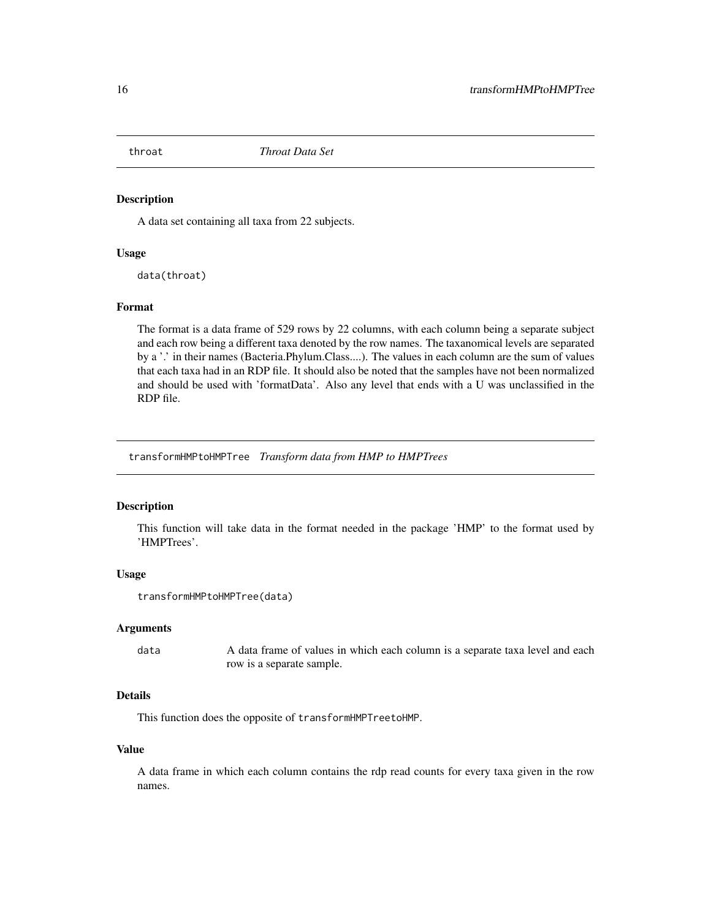<span id="page-15-0"></span>

A data set containing all taxa from 22 subjects.

#### Usage

data(throat)

#### Format

The format is a data frame of 529 rows by 22 columns, with each column being a separate subject and each row being a different taxa denoted by the row names. The taxanomical levels are separated by a '.' in their names (Bacteria.Phylum.Class....). The values in each column are the sum of values that each taxa had in an RDP file. It should also be noted that the samples have not been normalized and should be used with 'formatData'. Also any level that ends with a U was unclassified in the RDP file.

transformHMPtoHMPTree *Transform data from HMP to HMPTrees*

#### Description

This function will take data in the format needed in the package 'HMP' to the format used by 'HMPTrees'.

## Usage

```
transformHMPtoHMPTree(data)
```
#### Arguments

data A data frame of values in which each column is a separate taxa level and each row is a separate sample.

## Details

This function does the opposite of transformHMPTreetoHMP.

#### Value

A data frame in which each column contains the rdp read counts for every taxa given in the row names.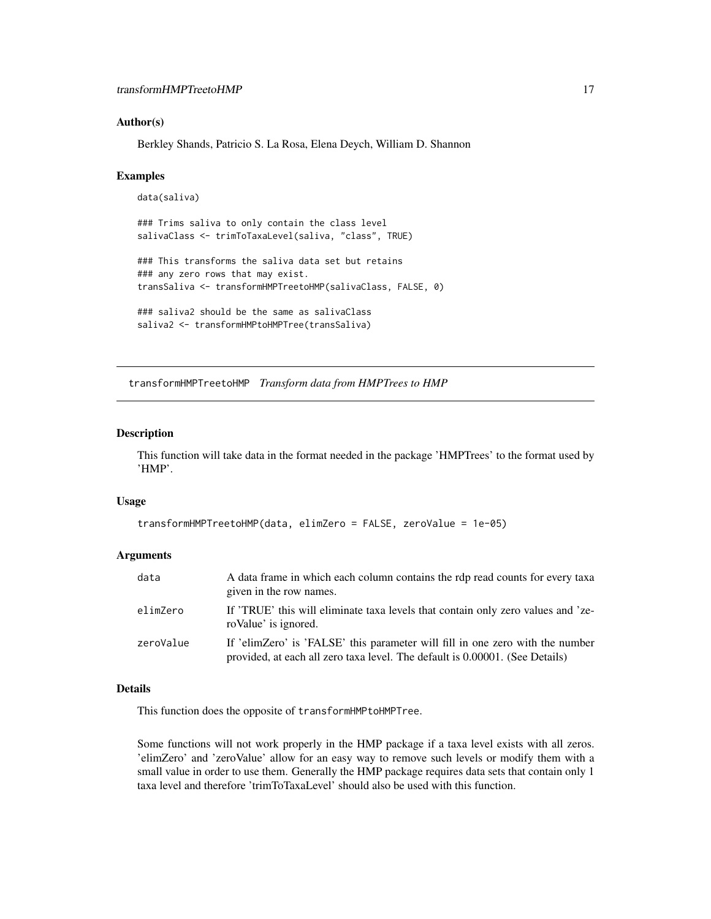#### <span id="page-16-0"></span>Author(s)

Berkley Shands, Patricio S. La Rosa, Elena Deych, William D. Shannon

#### Examples

```
data(saliva)
### Trims saliva to only contain the class level
salivaClass <- trimToTaxaLevel(saliva, "class", TRUE)
### This transforms the saliva data set but retains
### any zero rows that may exist.
transSaliva <- transformHMPTreetoHMP(salivaClass, FALSE, 0)
### saliva2 should be the same as salivaClass
saliva2 <- transformHMPtoHMPTree(transSaliva)
```
transformHMPTreetoHMP *Transform data from HMPTrees to HMP*

## Description

This function will take data in the format needed in the package 'HMPTrees' to the format used by 'HMP'.

#### Usage

```
transformHMPTreetoHMP(data, elimZero = FALSE, zeroValue = 1e-05)
```
## Arguments

| data      | A data frame in which each column contains the rdp read counts for every taxa<br>given in the row names.                                                      |
|-----------|---------------------------------------------------------------------------------------------------------------------------------------------------------------|
| elimZero  | If 'TRUE' this will eliminate taxa levels that contain only zero values and 'ze-<br>roValue' is ignored.                                                      |
| zeroValue | If 'elimZero' is 'FALSE' this parameter will fill in one zero with the number<br>provided, at each all zero taxa level. The default is 0.00001. (See Details) |

#### Details

This function does the opposite of transformHMPtoHMPTree.

Some functions will not work properly in the HMP package if a taxa level exists with all zeros. 'elimZero' and 'zeroValue' allow for an easy way to remove such levels or modify them with a small value in order to use them. Generally the HMP package requires data sets that contain only 1 taxa level and therefore 'trimToTaxaLevel' should also be used with this function.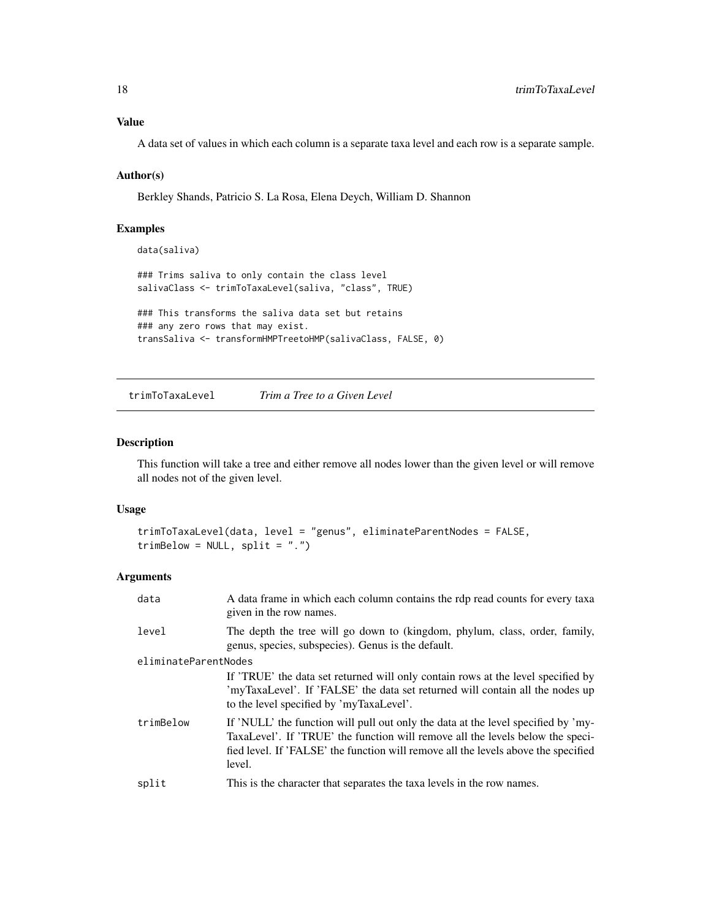## <span id="page-17-0"></span>Value

A data set of values in which each column is a separate taxa level and each row is a separate sample.

## Author(s)

Berkley Shands, Patricio S. La Rosa, Elena Deych, William D. Shannon

## Examples

data(saliva)

### Trims saliva to only contain the class level salivaClass <- trimToTaxaLevel(saliva, "class", TRUE) ### This transforms the saliva data set but retains

```
### any zero rows that may exist.
transSaliva <- transformHMPTreetoHMP(salivaClass, FALSE, 0)
```
trimToTaxaLevel *Trim a Tree to a Given Level*

## Description

This function will take a tree and either remove all nodes lower than the given level or will remove all nodes not of the given level.

## Usage

```
trimToTaxaLevel(data, level = "genus", eliminateParentNodes = FALSE,
trimBelow = NULL, split = "."
```
## Arguments

| data                 | A data frame in which each column contains the rdp read counts for every taxa<br>given in the row names.                                                                                                                                                            |  |
|----------------------|---------------------------------------------------------------------------------------------------------------------------------------------------------------------------------------------------------------------------------------------------------------------|--|
| level                | The depth the tree will go down to (kingdom, phylum, class, order, family,<br>genus, species, subspecies). Genus is the default.                                                                                                                                    |  |
| eliminateParentNodes |                                                                                                                                                                                                                                                                     |  |
|                      | If 'TRUE' the data set returned will only contain rows at the level specified by<br>'myTaxaLevel'. If 'FALSE' the data set returned will contain all the nodes up<br>to the level specified by 'myTaxaLevel'.                                                       |  |
| trimBelow            | If 'NULL' the function will pull out only the data at the level specified by 'my-<br>TaxaLevel'. If 'TRUE' the function will remove all the levels below the speci-<br>fied level. If 'FALSE' the function will remove all the levels above the specified<br>level. |  |
| split                | This is the character that separates the taxa levels in the row names.                                                                                                                                                                                              |  |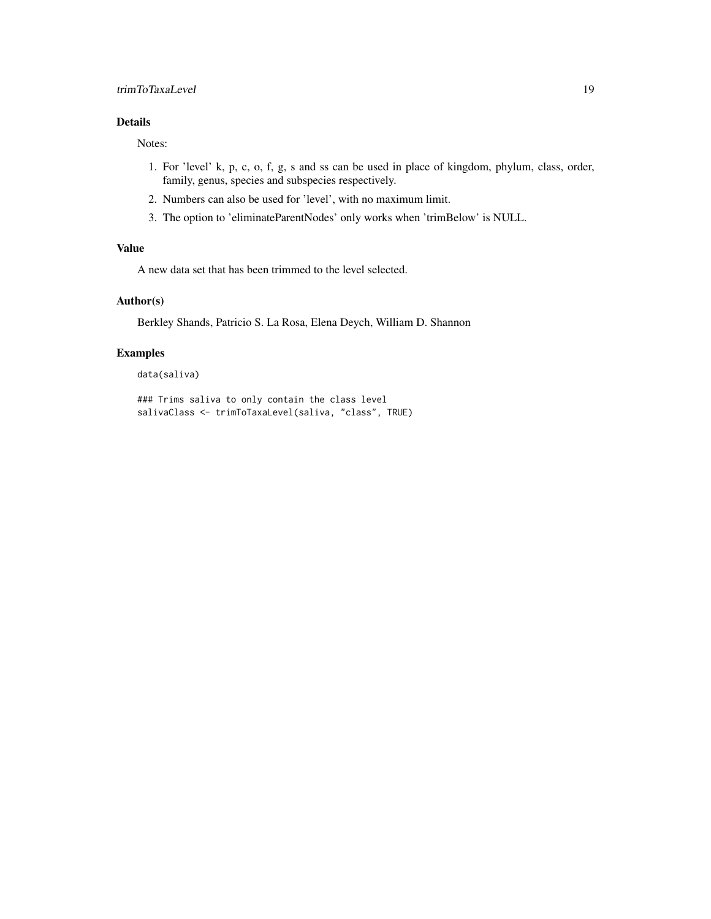## Details

Notes:

- 1. For 'level' k, p, c, o, f, g, s and ss can be used in place of kingdom, phylum, class, order, family, genus, species and subspecies respectively.
- 2. Numbers can also be used for 'level', with no maximum limit.
- 3. The option to 'eliminateParentNodes' only works when 'trimBelow' is NULL.

## Value

A new data set that has been trimmed to the level selected.

## Author(s)

Berkley Shands, Patricio S. La Rosa, Elena Deych, William D. Shannon

## Examples

data(saliva)

### Trims saliva to only contain the class level salivaClass <- trimToTaxaLevel(saliva, "class", TRUE)